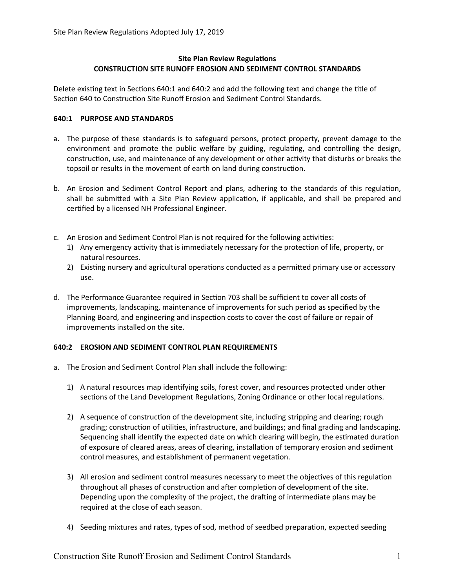## **Site Plan Review Regulations CONSTRUCTION SITE RUNOFF EROSION AND SEDIMENT CONTROL STANDARDS**

Delete existing text in Sections 640:1 and 640:2 and add the following text and change the title of Section 640 to Construction Site Runoff Erosion and Sediment Control Standards.

## **640:1 PURPOSE AND STANDARDS**

- a. The purpose of these standards is to safeguard persons, protect property, prevent damage to the environment and promote the public welfare by guiding, regulating, and controlling the design, construction, use, and maintenance of any development or other activity that disturbs or breaks the topsoil or results in the movement of earth on land during construction.
- b. An Erosion and Sediment Control Report and plans, adhering to the standards of this regulation, shall be submitted with a Site Plan Review application, if applicable, and shall be prepared and certified by a licensed NH Professional Engineer.
- c. An Erosion and Sediment Control Plan is not required for the following activities:
	- 1) Any emergency activity that is immediately necessary for the protection of life, property, or natural resources.
	- 2) Existing nursery and agricultural operations conducted as a permitted primary use or accessory use.
- d. The Performance Guarantee required in Section 703 shall be sufficient to cover all costs of improvements, landscaping, maintenance of improvements for such period as specified by the Planning Board, and engineering and inspection costs to cover the cost of failure or repair of improvements installed on the site.

# **640:2 EROSION AND SEDIMENT CONTROL PLAN REQUIREMENTS**

- a. The Erosion and Sediment Control Plan shall include the following:
	- 1) A natural resources map identifying soils, forest cover, and resources protected under other sections of the Land Development Regulations, Zoning Ordinance or other local regulations.
	- 2) A sequence of construction of the development site, including stripping and clearing; rough grading; construction of utilities, infrastructure, and buildings; and final grading and landscaping. Sequencing shall identify the expected date on which clearing will begin, the estimated duration of exposure of cleared areas, areas of clearing, installation of temporary erosion and sediment control measures, and establishment of permanent vegetation.
	- 3) All erosion and sediment control measures necessary to meet the objectives of this regulation throughout all phases of construction and after completion of development of the site. Depending upon the complexity of the project, the drafting of intermediate plans may be required at the close of each season.
	- 4) Seeding mixtures and rates, types of sod, method of seedbed preparation, expected seeding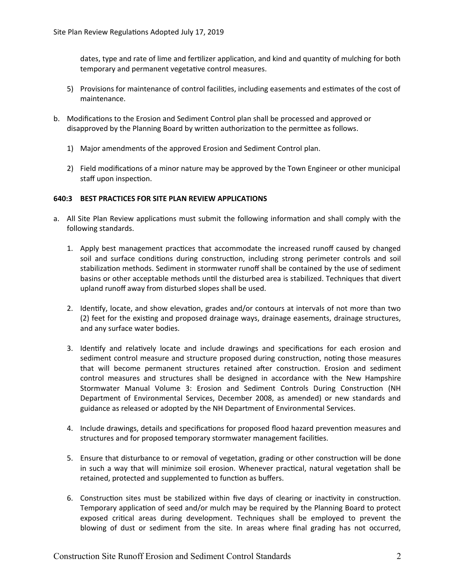dates, type and rate of lime and fertilizer application, and kind and quantity of mulching for both temporary and permanent vegetative control measures.

- 5) Provisions for maintenance of control facilities, including easements and estimates of the cost of maintenance.
- b. Modifications to the Erosion and Sediment Control plan shall be processed and approved or disapproved by the Planning Board by written authorization to the permittee as follows.
	- 1) Major amendments of the approved Erosion and Sediment Control plan.
	- 2) Field modifications of a minor nature may be approved by the Town Engineer or other municipal staff upon inspection.

#### **640:3 BEST PRACTICES FOR SITE PLAN REVIEW APPLICATIONS**

- a. All Site Plan Review applications must submit the following information and shall comply with the following standards.
	- 1. Apply best management practices that accommodate the increased runoff caused by changed soil and surface conditions during construction, including strong perimeter controls and soil stabilization methods. Sediment in stormwater runoff shall be contained by the use of sediment basins or other acceptable methods until the disturbed area is stabilized. Techniques that divert upland runoff away from disturbed slopes shall be used.
	- 2. Identify, locate, and show elevation, grades and/or contours at intervals of not more than two (2) feet for the existing and proposed drainage ways, drainage easements, drainage structures, and any surface water bodies.
	- 3. Identify and relatively locate and include drawings and specifications for each erosion and sediment control measure and structure proposed during construction, noting those measures that will become permanent structures retained after construction. Erosion and sediment control measures and structures shall be designed in accordance with the New Hampshire Stormwater Manual Volume 3: Erosion and Sediment Controls During Construction (NH Department of Environmental Services, December 2008, as amended) or new standards and guidance as released or adopted by the NH Department of Environmental Services.
	- 4. Include drawings, details and specifications for proposed flood hazard prevention measures and structures and for proposed temporary stormwater management facilities.
	- 5. Ensure that disturbance to or removal of vegetation, grading or other construction will be done in such a way that will minimize soil erosion. Whenever practical, natural vegetation shall be retained, protected and supplemented to function as buffers.
	- 6. Construction sites must be stabilized within five days of clearing or inactivity in construction. Temporary application of seed and/or mulch may be required by the Planning Board to protect exposed critical areas during development. Techniques shall be employed to prevent the blowing of dust or sediment from the site. In areas where final grading has not occurred,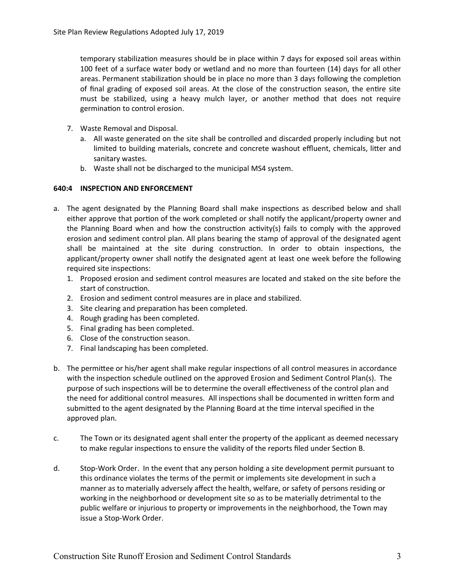temporary stabilization measures should be in place within 7 days for exposed soil areas within 100 feet of a surface water body or wetland and no more than fourteen (14) days for all other areas. Permanent stabilization should be in place no more than 3 days following the completion of final grading of exposed soil areas. At the close of the construction season, the entire site must be stabilized, using a heavy mulch layer, or another method that does not require germination to control erosion.

- 7. Waste Removal and Disposal.
	- a. All waste generated on the site shall be controlled and discarded properly including but not limited to building materials, concrete and concrete washout effluent, chemicals, litter and sanitary wastes.
	- b. Waste shall not be discharged to the municipal MS4 system.

### **640:4 INSPECTION AND ENFORCEMENT**

- a. The agent designated by the Planning Board shall make inspections as described below and shall either approve that portion of the work completed or shall notify the applicant/property owner and the Planning Board when and how the construction activity(s) fails to comply with the approved erosion and sediment control plan. All plans bearing the stamp of approval of the designated agent shall be maintained at the site during construction. In order to obtain inspections, the applicant/property owner shall notify the designated agent at least one week before the following required site inspections:
	- 1. Proposed erosion and sediment control measures are located and staked on the site before the start of construction.
	- 2. Erosion and sediment control measures are in place and stabilized.
	- 3. Site clearing and preparation has been completed.
	- 4. Rough grading has been completed.
	- 5. Final grading has been completed.
	- 6. Close of the construction season.
	- 7. Final landscaping has been completed.
- b. The permittee or his/her agent shall make regular inspections of all control measures in accordance with the inspection schedule outlined on the approved Erosion and Sediment Control Plan(s). The purpose of such inspections will be to determine the overall effectiveness of the control plan and the need for additional control measures. All inspections shall be documented in written form and submitted to the agent designated by the Planning Board at the time interval specified in the approved plan.
- c. The Town or its designated agent shall enter the property of the applicant as deemed necessary to make regular inspections to ensure the validity of the reports filed under Section B.
- d. Stop-Work Order. In the event that any person holding a site development permit pursuant to this ordinance violates the terms of the permit or implements site development in such a manner as to materially adversely affect the health, welfare, or safety of persons residing or working in the neighborhood or development site so as to be materially detrimental to the public welfare or injurious to property or improvements in the neighborhood, the Town may issue a Stop-Work Order.